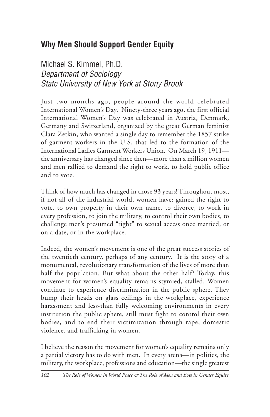## **Why Men Should Support Gender Equity**

Michael S. Kimmel, Ph.D. Department of Sociology State University of New York at Stony Brook

Just two months ago, people around the world celebrated International Women's Day. Ninety-three years ago, the first official International Women's Day was celebrated in Austria, Denmark, Germany and Switzerland, organized by the great German feminist Clara Zetkin, who wanted a single day to remember the 1857 strike of garment workers in the U.S. that led to the formation of the International Ladies Garment Workers Union. On March 19, 1911 the anniversary has changed since then—more than a million women and men rallied to demand the right to work, to hold public office and to vote.

Think of how much has changed in those 93 years! Throughout most, if not all of the industrial world, women have: gained the right to vote, to own property in their own name, to divorce, to work in every profession, to join the military, to control their own bodies, to challenge men's presumed "right" to sexual access once married, or on a date, or in the workplace.

Indeed, the women's movement is one of the great success stories of the twentieth century, perhaps of any century. It is the story of a monumental, revolutionary transformation of the lives of more than half the population. But what about the other half? Today, this movement for women's equality remains stymied, stalled. Women continue to experience discrimination in the public sphere. They bump their heads on glass ceilings in the workplace, experience harassment and less-than fully welcoming environments in every institution the public sphere, still must fight to control their own bodies, and to end their victimization through rape, domestic violence, and trafficking in women.

I believe the reason the movement for women's equality remains only a partial victory has to do with men. In every arena—in politics, the military, the workplace, professions and education—the single greatest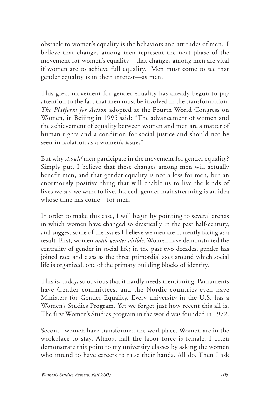obstacle to women's equality is the behaviors and attitudes of men. I believe that changes among men represent the next phase of the movement for women's equality—that changes among men are vital if women are to achieve full equality. Men must come to see that gender equality is in their interest—as men.

This great movement for gender equality has already begun to pay attention to the fact that men must be involved in the transformation. *The Platform for Action* adopted at the Fourth World Congress on Women, in Beijing in 1995 said: "The advancement of women and the achievement of equality between women and men are a matter of human rights and a condition for social justice and should not be seen in isolation as a women's issue."

But why *should* men participate in the movement for gender equality? Simply put, I believe that these changes among men will actually benefit men, and that gender equality is not a loss for men, but an enormously positive thing that will enable us to live the kinds of lives we say we want to live. Indeed, gender mainstreaming is an idea whose time has come—for men.

In order to make this case, I will begin by pointing to several arenas in which women have changed so drastically in the past half-century, and suggest some of the issues I believe we men are currently facing as a result. First, women *made gender visible*. Women have demonstrated the centrality of gender in social life; in the past two decades, gender has joined race and class as the three primordial axes around which social life is organized, one of the primary building blocks of identity.

This is, today, so obvious that it hardly needs mentioning. Parliaments have Gender committees, and the Nordic countries even have Ministers for Gender Equality. Every university in the U.S. has a Women's Studies Program. Yet we forget just how recent this all is. The first Women's Studies program in the world was founded in 1972.

Second, women have transformed the workplace. Women are in the workplace to stay. Almost half the labor force is female. I often demonstrate this point to my university classes by asking the women who intend to have careers to raise their hands. All do. Then I ask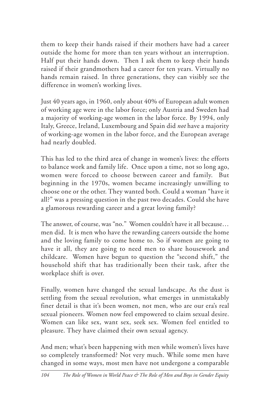them to keep their hands raised if their mothers have had a career outside the home for more than ten years without an interruption. Half put their hands down. Then I ask them to keep their hands raised if their grandmothers had a career for ten years. Virtually no hands remain raised. In three generations, they can visibly see the difference in women's working lives.

Just 40 years ago, in 1960, only about 40% of European adult women of working age were in the labor force; only Austria and Sweden had a majority of working-age women in the labor force. By 1994, only Italy, Greece, Ireland, Luxembourg and Spain did *not* have a majority of working-age women in the labor force, and the European average had nearly doubled.

This has led to the third area of change in women's lives: the efforts to balance work and family life. Once upon a time, not so long ago, women were forced to choose between career and family. But beginning in the 1970s, women became increasingly unwilling to choose one or the other. They wanted both. Could a woman "have it all?" was a pressing question in the past two decades. Could she have a glamorous rewarding career and a great loving family?

The answer, of course, was "no." Women couldn't have it all because… men did. It is men who have the rewarding careers outside the home and the loving family to come home to. So if women are going to have it all, they are going to need men to share housework and childcare. Women have begun to question the "second shift," the household shift that has traditionally been their task, after the workplace shift is over.

Finally, women have changed the sexual landscape. As the dust is settling from the sexual revolution, what emerges in unmistakably finer detail is that it's been women, not men, who are our era's real sexual pioneers. Women now feel empowered to claim sexual desire. Women can like sex, want sex, seek sex. Women feel entitled to pleasure. They have claimed their own sexual agency.

And men; what's been happening with men while women's lives have so completely transformed? Not very much. While some men have changed in some ways, most men have not undergone a comparable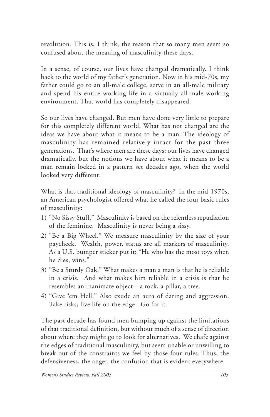revolution. This is, I think, the reason that so many men seem so confused about the meaning of masculinity these days.

In a sense, of course, our lives have changed dramatically. I think back to the world of my father's generation. Now in his mid-70s, my father could go to an all-male college, serve in an all-male military and spend his entire working life in a virtually all-male working environment. That world has completely disappeared.

So our lives have changed. But men have done very little to prepare for this completely different world. What has not changed are the ideas we have about what it means to be a man. The ideology of masculinity has remained relatively intact for the past three generations. That's where men are these days: our lives have changed dramatically, but the notions we have about what it means to be a man remain locked in a pattern set decades ago, when the world looked very different.

What is that traditional ideology of masculinity? In the mid-1970s, an American psychologist offered what he called the four basic rules of masculinity:

- 1) "No Sissy Stuff." Masculinity is based on the relentless repudiation of the feminine. Masculinity is never being a sissy.
- 2) "Be a Big Wheel." We measure masculinity by the size of your paycheck. Wealth, power, status are all markers of masculinity. As a U.S. bumper sticker put it: "He who has the most toys when he dies, wins."
- 3) "Be a Sturdy Oak." What makes a man a man is that he is reliable in a crisis. And what makes him reliable in a crisis is that he resembles an inanimate object—a rock, a pillar, a tree.
- 4) "Give 'em Hell." Also exude an aura of daring and aggression. Take risks; live life on the edge. Go for it.

The past decade has found men bumping up against the limitations of that traditional definition, but without much of a sense of direction about where they might go to look for alternatives. We chafe against the edges of traditional masculinity, but seem unable or unwilling to break out of the constraints we feel by those four rules. Thus, the defensiveness, the anger, the confusion that is evident everywhere.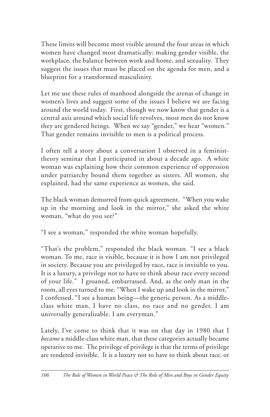These limits will become most visible around the four areas in which women have changed most dramatically: making gender visible, the workplace, the balance between work and home, and sexuality. They suggest the issues that must be placed on the agenda for men, and a blueprint for a transformed masculinity.

Let me use these rules of manhood alongside the arenas of change in women's lives and suggest some of the issues I believe we are facing around the world today. First, though we now know that gender is a central axis around which social life revolves, most men do not know they are gendered beings. When we say "gender," we hear "women." That gender remains invisible to men is a political process.

I often tell a story about a conversation I observed in a feministtheory seminar that I participated in about a decade ago. A white woman was explaining how their common experience of oppression under patriarchy bound them together as sisters. All women, she explained, had the same experience as women, she said.

The black woman demurred from quick agreement. "When you wake up in the morning and look in the mirror," she asked the white woman, "what do you see?"

"I see a woman," responded the white woman hopefully.

"That's the problem," responded the black woman. "I see a black woman. To me, race is visible, because it is how I am not privileged in society. Because you are privileged by race, race is invisible to you. It is a luxury, a privilege not to have to think about race every second of your life." I groaned, embarrassed. And, as the only man in the room, all eyes turned to me. "When I wake up and look in the mirror," I confessed, "I see a human being—the generic person. As a middleclass white man, I have no class, no race and no gender. I am universally generalizable. I am everyman."

Lately, I've come to think that it was on that day in 1980 that I *became* a middle-class white man, that these categories actually became operative to me. The privilege of privilege is that the terms of privilege are rendered invisible. It is a luxury not to have to think about race, or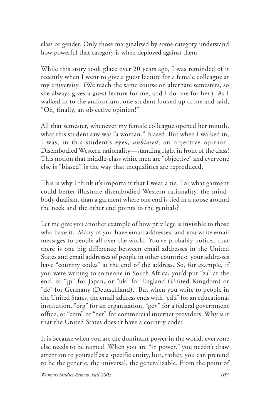class or gender. Only those marginalized by some category understand how powerful that category is when deployed against them.

While this story took place over 20 years ago, I was reminded of it recently when I went to give a guest lecture for a female colleague at my university. (We teach the same course on alternate semesters, so she always gives a guest lecture for me, and I do one for her.) As I walked in to the auditorium, one student looked up at me and said, "Oh, finally, an objective opinion!"

All that semester, whenever my female colleague opened her mouth, what this student saw was "a woman." Biased. But when I walked in, I was, in this student's eyes, *unbiased*, an objective opinion. Disembodied Western rationality—standing right in front of the class! This notion that middle-class white men are "objective" and everyone else is "biased" is the way that inequalities are reproduced.

This is why I think it's important that I wear a tie. For what garment could better illustrate disembodied Western rationality, the mindbody dualism, than a garment where one end is tied in a noose around the neck and the other end points to the genitals?

Let me give you another example of how privilege is invisible to those who have it. Many of you have email addresses, and you write email messages to people all over the world. You've probably noticed that there is one big difference between email addresses in the United States and email addresses of people in other countries: your addresses have "country codes" at the end of the address. So, for example, if you were writing to someone in South Africa, you'd put "za" at the end, or "jp" for Japan, or "uk" for England (United Kingdom) or "de" for Germany (Deutschland). But when you write to people in the United States, the email address ends with "edu" for an educational institution, "org" for an organization, "gov" for a federal government office, or "com" or "net" for commercial internet providers. Why is it that the United States doesn't have a country code?

It is because when you are the dominant power in the world, everyone else needs to be named. When you are "in power," you needn't draw attention to yourself as a specific entity, but, rather, you can pretend to be the generic, the universal, the generalizable. From the point of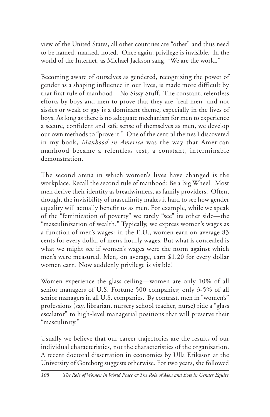view of the United States, all other countries are "other" and thus need to be named, marked, noted. Once again, privilege is invisible. In the world of the Internet, as Michael Jackson sang, "We are the world."

Becoming aware of ourselves as gendered, recognizing the power of gender as a shaping influence in our lives, is made more difficult by that first rule of manhood—No Sissy Stuff. The constant, relentless efforts by boys and men to prove that they are "real men" and not sissies or weak or gay is a dominant theme, especially in the lives of boys. As long as there is no adequate mechanism for men to experience a secure, confident and safe sense of themselves as men, we develop our own methods to "prove it." One of the central themes I discovered in my book, *Manhood in America* was the way that American manhood became a relentless test, a constant, interminable demonstration.

The second arena in which women's lives have changed is the workplace. Recall the second rule of manhood: Be a Big Wheel. Most men derive their identity as breadwinners, as family providers. Often, though, the invisibility of masculinity makes it hard to see how gender equality will actually benefit us as men. For example, while we speak of the "feminization of poverty" we rarely "see" its other side—the "masculinization of wealth." Typically, we express women's wages as a function of men's wages: in the E.U., women earn on average 83 cents for every dollar of men's hourly wages. But what is concealed is what we might see if women's wages were the norm against which men's were measured. Men, on average, earn \$1.20 for every dollar women earn. Now suddenly privilege is visible!

Women experience the glass ceiling—women are only 10% of all senior managers of U.S. Fortune 500 companies; only 3-5% of all senior managers in all U.S. companies. By contrast, men in "women's" professions (say, librarian, nursery school teacher, nurse) ride a "glass escalator" to high-level managerial positions that will preserve their "masculinity."

Usually we believe that our career trajectories are the results of our individual characteristics, not the characteristics of the organization. A recent doctoral dissertation in economics by Ulla Eriksson at the University of Goteborg suggests otherwise. For two years, she followed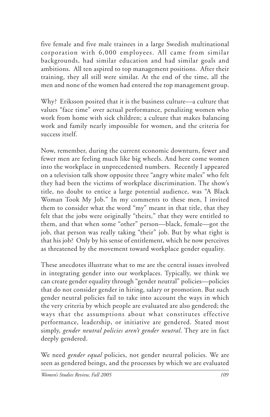five female and five male trainees in a large Swedish multinational corporation with 6,000 employees. All came from similar backgrounds, had similar education and had similar goals and ambitions. All ten aspired to top management positions. After their training, they all still were similar. At the end of the time, all the men and none of the women had entered the top management group.

Why? Eriksson posited that it is the business culture—a culture that values "face time" over actual performance, penalizing women who work from home with sick children; a culture that makes balancing work and family nearly impossible for women, and the criteria for success itself.

Now, remember, during the current economic downturn, fewer and fewer men are feeling much like big wheels. And here come women into the workplace in unprecedented numbers. Recently I appeared on a television talk show opposite three "angry white males" who felt they had been the victims of workplace discrimination. The show's title, no doubt to entice a large potential audience, was "A Black Woman Took My Job." In my comments to these men, I invited them to consider what the word "my" meant in that title, that they felt that the jobs were originally "theirs," that they were entitled to them, and that when some "other" person—black, female—got the job, that person was really taking "their" job. But by what right is that his job? Only by his sense of entitlement, which he now perceives as threatened by the movement toward workplace gender equality.

These anecdotes illustrate what to me are the central issues involved in integrating gender into our workplaces. Typically, we think we can create gender equality through "gender neutral" policies—policies that do not consider gender in hiring, salary or promotion. But such gender neutral policies fail to take into account the ways in which the very criteria by which people are evaluated are also gendered; the ways that the assumptions about what constitutes effective performance, leadership, or initiative are gendered. Stated most simply, *gender neutral policies aren't gender neutral*. They are in fact deeply gendered.

We need *gender equal* policies, not gender neutral policies. We are seen as gendered beings, and the processes by which we are evaluated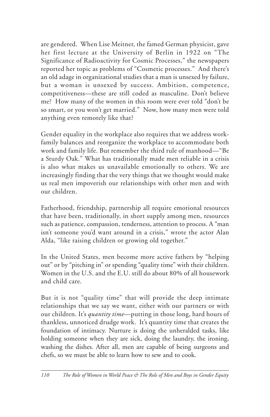are gendered. When Lise Meitner, the famed German physicist, gave her first lecture at the University of Berlin in 1922 on "The Significance of Radioactivity for Cosmic Processes," the newspapers reported her topic as problems of "Cosmetic processes." And there's an old adage in organizational studies that a man is unsexed by failure, but a woman is unsexed by success. Ambition, competence, competitiveness—these are still coded as masculine. Don't believe me? How many of the women in this room were ever told "don't be so smart, or you won't get married." Now, how many men were told anything even remotely like that?

Gender equality in the workplace also requires that we address workfamily balances and reorganize the workplace to accommodate both work and family life. But remember the third rule of manhood—"Be a Sturdy Oak." What has traditionally made men reliable in a crisis is also what makes us unavailable emotionally to others. We are increasingly finding that the very things that we thought would make us real men impoverish our relationships with other men and with our children.

Fatherhood, friendship, partnership all require emotional resources that have been, traditionally, in short supply among men, resources such as patience, compassion, tenderness, attention to process. A "man isn't someone you'd want around in a crisis," wrote the actor Alan Alda, "like raising children or growing old together."

In the United States, men become more active fathers by "helping out" or by "pitching in" or spending "quality time" with their children. Women in the U.S. and the E.U. still do about 80% of all housework and child care.

But it is not "quality time" that will provide the deep intimate relationships that we say we want, either with our partners or with our children. It's *quantity time*—putting in those long, hard hours of thankless, unnoticed drudge work. It's quantity time that creates the foundation of intimacy. Nurture is doing the unheralded tasks, like holding someone when they are sick, doing the laundry, the ironing, washing the dishes. After all, men are capable of being surgeons and chefs, so we must be able to learn how to sew and to cook.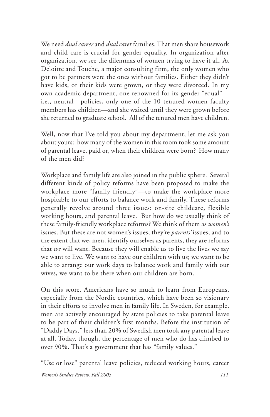We need *dual career* and *dual carer* families. That men share housework and child care is crucial for gender equality. In organization after organization, we see the dilemmas of women trying to have it all. At Deloitte and Touche, a major consulting firm, the only women who got to be partners were the ones without families. Either they didn't have kids, or their kids were grown, or they were divorced. In my own academic department, one renowned for its gender "equal" i.e., neutral—policies, only one of the 10 tenured women faculty members has children—and she waited until they were grown before she returned to graduate school. All of the tenured men have children.

Well, now that I've told you about my department, let me ask you about yours: how many of the women in this room took some amount of parental leave, paid or, when their children were born? How many of the men did?

Workplace and family life are also joined in the public sphere. Several different kinds of policy reforms have been proposed to make the workplace more "family friendly"—to make the workplace more hospitable to our efforts to balance work and family. These reforms generally revolve around three issues: on-site childcare, flexible working hours, and parental leave. But how do we usually think of these family-friendly workplace reforms? We think of them as *women's* issues. But these are not women's issues, they're *parents'* issues, and to the extent that we, men, identify ourselves as parents, they are reforms that *we* will want. Because they will enable us to live the lives we say we want to live. We want to have our children with us; we want to be able to arrange our work days to balance work and family with our wives, we want to be there when our children are born.

On this score, Americans have so much to learn from Europeans, especially from the Nordic countries, which have been so visionary in their efforts to involve men in family life. In Sweden, for example, men are actively encouraged by state policies to take parental leave to be part of their children's first months. Before the institution of "Daddy Days," less than 20% of Swedish men took any parental leave at all. Today, though, the percentage of men who do has climbed to over 90%. That's a government that has "family values."

"Use or lose" parental leave policies, reduced working hours, career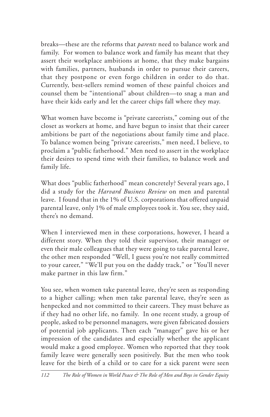breaks—these are the reforms that *parents* need to balance work and family. For women to balance work and family has meant that they assert their workplace ambitions at home, that they make bargains with families, partners, husbands in order to pursue their careers, that they postpone or even forgo children in order to do that. Currently, best-sellers remind women of these painful choices and counsel them be "intentional" about children—to snag a man and have their kids early and let the career chips fall where they may.

What women have become is "private careerists," coming out of the closet as workers at home, and have begun to insist that their career ambitions be part of the negotiations about family time and place. To balance women being "private careerists," men need, I believe, to proclaim a "public fatherhood." Men need to assert in the workplace their desires to spend time with their families, to balance work and family life.

What does "public fatherhood" mean concretely? Several years ago, I did a study for the *Harvard Business Review* on men and parental leave. I found that in the 1% of U.S. corporations that offered unpaid parental leave, only 1% of male employees took it. You see, they said, there's no demand.

When I interviewed men in these corporations, however, I heard a different story. When they told their supervisor, their manager or even their male colleagues that they were going to take parental leave, the other men responded "Well, I guess you're not really committed to your career," "We'll put you on the daddy track," or "You'll never make partner in this law firm."

You see, when women take parental leave, they're seen as responding to a higher calling; when men take parental leave, they're seen as henpecked and not committed to their careers. They must behave as if they had no other life, no family. In one recent study, a group of people, asked to be personnel managers, were given fabricated dossiers of potential job applicants. Then each "manager" gave his or her impression of the candidates and especially whether the applicant would make a good employee. Women who reported that they took family leave were generally seen positively. But the men who took leave for the birth of a child or to care for a sick parent were seen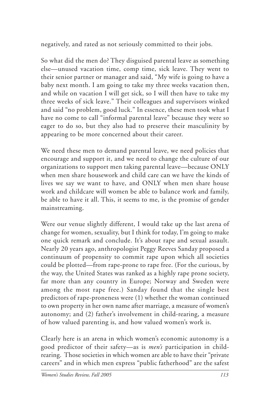negatively, and rated as not seriously committed to their jobs.

So what did the men do? They disguised parental leave as something else—unused vacation time, comp time, sick leave. They went to their senior partner or manager and said, "My wife is going to have a baby next month. I am going to take my three weeks vacation then, and while on vacation I will get sick, so I will then have to take my three weeks of sick leave." Their colleagues and supervisors winked and said "no problem, good luck." In essence, these men took what I have no come to call "informal parental leave" because they were so eager to do so, but they also had to preserve their masculinity by appearing to be more concerned about their career.

We need these men to demand parental leave, we need policies that encourage and support it, and we need to change the culture of our organizations to support men taking parental leave—because ONLY when men share housework and child care can we have the kinds of lives we say we want to have, and ONLY when men share house work and childcare will women be able to balance work and family, be able to have it all. This, it seems to me, is the promise of gender mainstreaming.

Were our venue slightly different, I would take up the last arena of change for women, sexuality, but I think for today, I'm going to make one quick remark and conclude. It's about rape and sexual assault. Nearly 20 years ago, anthropologist Peggy Reeves Sanday proposed a continuum of propensity to commit rape upon which all societies could be plotted—from rape-prone to rape free. (For the curious, by the way, the United States was ranked as a highly rape prone society, far more than any country in Europe; Norway and Sweden were among the most rape free.) Sanday found that the single best predictors of rape-proneness were (1) whether the woman continued to own property in her own name after marriage, a measure of women's autonomy; and (2) father's involvement in child-rearing, a measure of how valued parenting is, and how valued women's work is.

Clearly here is an arena in which women's economic autonomy is a good predictor of their safety—as is *men's* participation in childrearing. Those societies in which women are able to have their "private careers" and in which men express "public fatherhood" are the safest